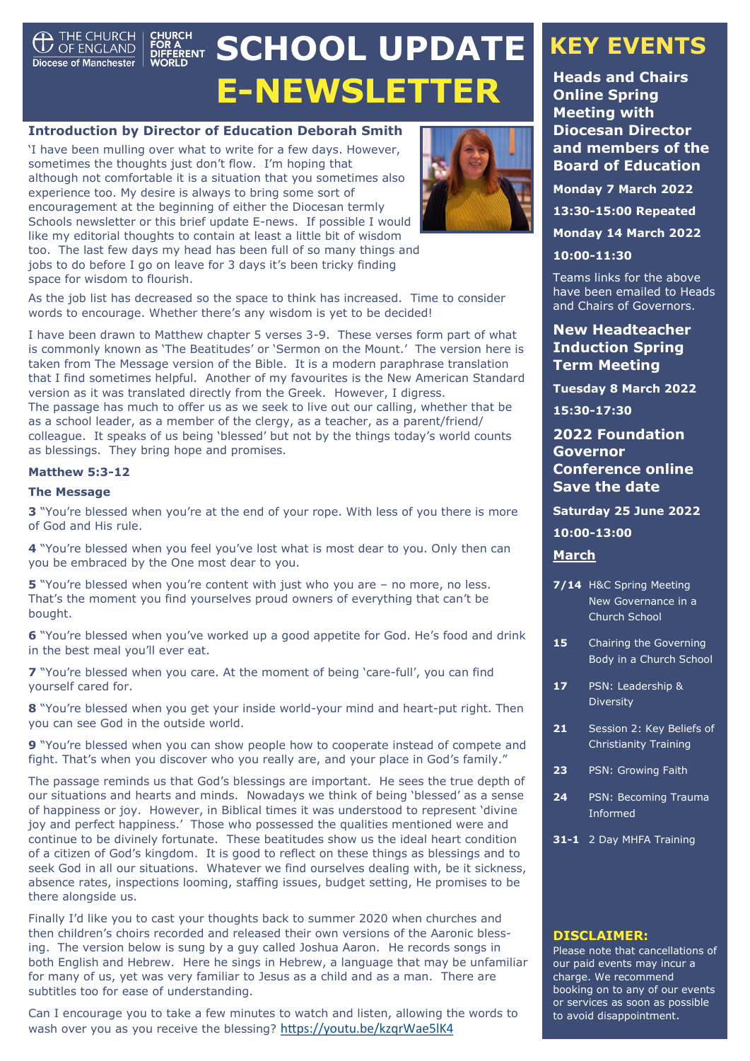<span id="page-0-0"></span>

# **SCHOOL UPDATE E-NEWSLETTER**

### **Introduction by Director of Education Deborah Smith**

'I have been mulling over what to write for a few days. However, sometimes the thoughts just don't flow. I'm hoping that although not comfortable it is a situation that you sometimes also experience too. My desire is always to bring some sort of encouragement at the beginning of either the Diocesan termly Schools newsletter or this brief update E-news. If possible I would like my editorial thoughts to contain at least a little bit of wisdom too. The last few days my head has been full of so many things and jobs to do before I go on leave for 3 days it's been tricky finding space for wisdom to flourish.



As the job list has decreased so the space to think has increased. Time to consider words to encourage. Whether there's any wisdom is yet to be decided!

I have been drawn to Matthew chapter 5 verses 3-9. These verses form part of what is commonly known as 'The Beatitudes' or 'Sermon on the Mount.' The version here is taken from The Message version of the Bible. It is a modern paraphrase translation that I find sometimes helpful. Another of my favourites is the New American Standard version as it was translated directly from the Greek. However, I digress. The passage has much to offer us as we seek to live out our calling, whether that be as a school leader, as a member of the clergy, as a teacher, as a parent/friend/ colleague. It speaks of us being 'blessed' but not by the things today's world counts as blessings. They bring hope and promises.

#### **Matthew 5:3-12**

#### **The Message**

**3** "You're blessed when you're at the end of your rope. With less of you there is more of God and His rule.

**4** "You're blessed when you feel you've lost what is most dear to you. Only then can you be embraced by the One most dear to you.

**5** "You're blessed when you're content with just who you are - no more, no less. That's the moment you find yourselves proud owners of everything that can't be bought.

**6** "You're blessed when you've worked up a good appetite for God. He's food and drink in the best meal you'll ever eat.

**7** "You're blessed when you care. At the moment of being 'care-full', you can find yourself cared for.

**8** "You're blessed when you get your inside world-your mind and heart-put right. Then you can see God in the outside world.

**9** "You're blessed when you can show people how to cooperate instead of compete and fight. That's when you discover who you really are, and your place in God's family."

The passage reminds us that God's blessings are important. He sees the true depth of our situations and hearts and minds. Nowadays we think of being 'blessed' as a sense of happiness or joy. However, in Biblical times it was understood to represent 'divine joy and perfect happiness.' Those who possessed the qualities mentioned were and continue to be divinely fortunate. These beatitudes show us the ideal heart condition of a citizen of God's kingdom. It is good to reflect on these things as blessings and to seek God in all our situations. Whatever we find ourselves dealing with, be it sickness, absence rates, inspections looming, staffing issues, budget setting, He promises to be there alongside us.

Finally I'd like you to cast your thoughts back to summer 2020 when churches and then children's choirs recorded and released their own versions of the Aaronic blessing. The version below is sung by a guy called Joshua Aaron. He records songs in both English and Hebrew. Here he sings in Hebrew, a language that may be unfamiliar for many of us, yet was very familiar to Jesus as a child and as a man. There are subtitles too for ease of understanding.

Can I encourage you to take a few minutes to watch and listen, allowing the words to wash over you as you receive the blessing? <https://youtu.be/kzqrWae5lK4>

# **KEY EVENTS**

**Heads and Chairs Online Spring Meeting with Diocesan Director and members of the Board of Education** 

**Monday 7 March 2022**

**13:30-15:00 Repeated**

**Monday 14 March 2022**

**10:00-11:30**

Teams links for the above have been emailed to Heads and Chairs of Governors.

### **New Headteacher Induction Spring Term Meeting**

**Tuesday 8 March 2022**

**15:30-17:30**

### **2022 Foundation Governor Conference online Save the date**

**Saturday 25 June 2022** 

### **10:00-13:00**

#### **March**

- **7/14** H&C Spring Meeting New Governance in a Church School
- 15 Chairing the Governing Body in a Church School
- **17** PSN: Leadership & **Diversity**
- 21 Session 2: Key Beliefs of Christianity Training
- **23** PSN: Growing Faith
- **24** PSN: Becoming Trauma Informed

**31-1** 2 Day MHFA Training

#### **DISCLAIMER:**

Please note that cancellations of our paid events may incur a charge. We recommend booking on to any of our events or services as soon as possible to avoid disappointment.